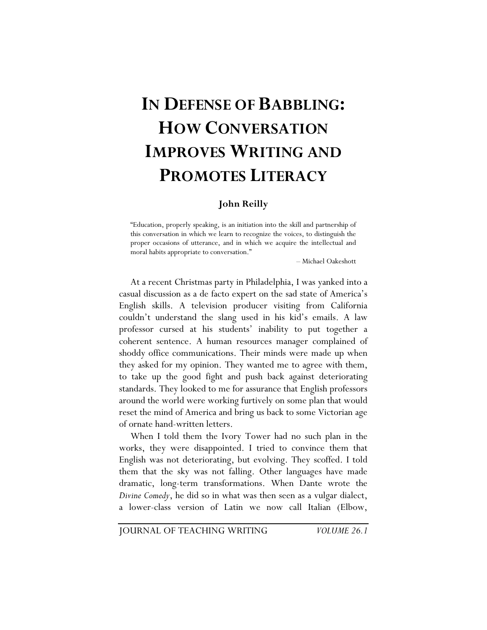# **IN DEFENSE OF BABBLING: HOW CONVERSATION IMPROVES WRITING AND PROMOTES LITERACY**

#### **John Reilly**

"Education, properly speaking, is an initiation into the skill and partnership of this conversation in which we learn to recognize the voices, to distinguish the proper occasions of utterance, and in which we acquire the intellectual and moral habits appropriate to conversation."

– Michael Oakeshott

At a recent Christmas party in Philadelphia, I was yanked into a casual discussion as a de facto expert on the sad state of America's English skills. A television producer visiting from California couldn't understand the slang used in his kid's emails. A law professor cursed at his students' inability to put together a coherent sentence. A human resources manager complained of shoddy office communications. Their minds were made up when they asked for my opinion. They wanted me to agree with them, to take up the good fight and push back against deteriorating standards. They looked to me for assurance that English professors around the world were working furtively on some plan that would reset the mind of America and bring us back to some Victorian age of ornate hand-written letters.

When I told them the Ivory Tower had no such plan in the works, they were disappointed. I tried to convince them that English was not deteriorating, but evolving. They scoffed. I told them that the sky was not falling. Other languages have made dramatic, long-term transformations. When Dante wrote the *Divine Comedy*, he did so in what was then seen as a vulgar dialect, a lower-class version of Latin we now call Italian (Elbow,

JOURNAL OF TEACHING WRITING *VOLUME 26.1*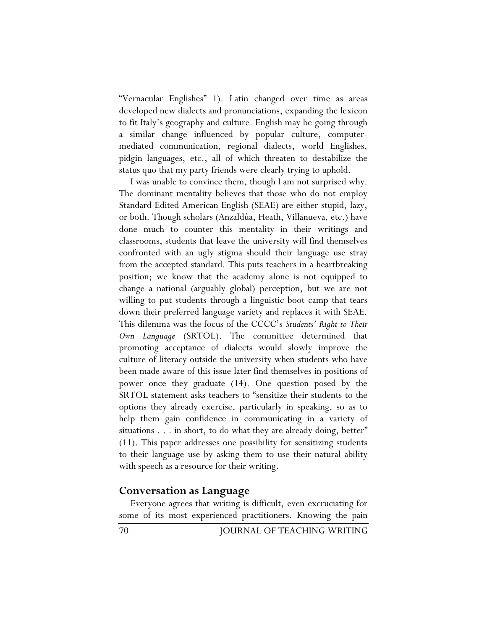"Vernacular Englishes" 1). Latin changed over time as areas developed new dialects and pronunciations, expanding the lexicon to fit Italy's geography and culture. English may be going through a similar change influenced by popular culture, computermediated communication, regional dialects, world Englishes, pidgin languages, etc., all of which threaten to destabilize the status quo that my party friends were clearly trying to uphold.

I was unable to convince them, though I am not surprised why. The dominant mentality believes that those who do not employ Standard Edited American English (SEAE) are either stupid, lazy, or both. Though scholars (Anzaldúa, Heath, Villanueva, etc.) have done much to counter this mentality in their writings and classrooms, students that leave the university will find themselves confronted with an ugly stigma should their language use stray from the accepted standard. This puts teachers in a heartbreaking position; we know that the academy alone is not equipped to change a national (arguably global) perception, but we are not willing to put students through a linguistic boot camp that tears down their preferred language variety and replaces it with SEAE. This dilemma was the focus of the CCCC's *Students' Right to Their Own Language* (SRTOL). The committee determined that promoting acceptance of dialects would slowly improve the culture of literacy outside the university when students who have been made aware of this issue later find themselves in positions of power once they graduate (14). One question posed by the SRTOL statement asks teachers to "sensitize their students to the options they already exercise, particularly in speaking, so as to help them gain confidence in communicating in a variety of situations . . . in short, to do what they are already doing, better" (11). This paper addresses one possibility for sensitizing students to their language use by asking them to use their natural ability with speech as a resource for their writing.

## **Conversation as Language**

Everyone agrees that writing is difficult, even excruciating for some of its most experienced practitioners. Knowing the pain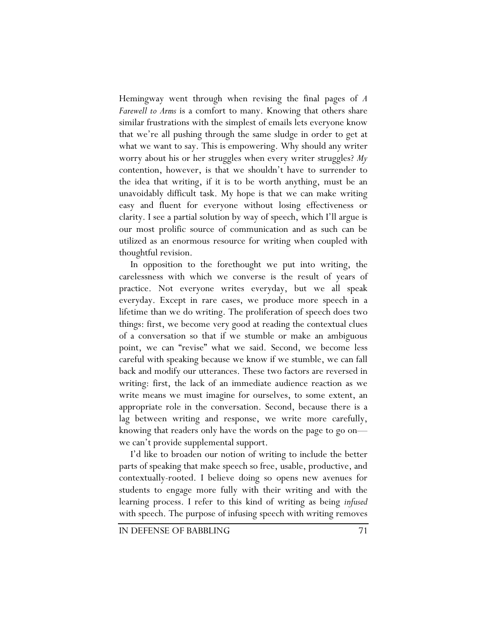Hemingway went through when revising the final pages of *A Farewell to Arms* is a comfort to many. Knowing that others share similar frustrations with the simplest of emails lets everyone know that we're all pushing through the same sludge in order to get at what we want to say. This is empowering. Why should any writer worry about his or her struggles when every writer struggles? *My* contention, however, is that we shouldn't have to surrender to the idea that writing, if it is to be worth anything, must be an unavoidably difficult task. My hope is that we can make writing easy and fluent for everyone without losing effectiveness or clarity. I see a partial solution by way of speech, which I'll argue is our most prolific source of communication and as such can be utilized as an enormous resource for writing when coupled with thoughtful revision.

In opposition to the forethought we put into writing, the carelessness with which we converse is the result of years of practice. Not everyone writes everyday, but we all speak everyday. Except in rare cases, we produce more speech in a lifetime than we do writing. The proliferation of speech does two things: first, we become very good at reading the contextual clues of a conversation so that if we stumble or make an ambiguous point, we can "revise" what we said. Second, we become less careful with speaking because we know if we stumble, we can fall back and modify our utterances. These two factors are reversed in writing: first, the lack of an immediate audience reaction as we write means we must imagine for ourselves, to some extent, an appropriate role in the conversation. Second, because there is a lag between writing and response, we write more carefully, knowing that readers only have the words on the page to go on we can't provide supplemental support.

I'd like to broaden our notion of writing to include the better parts of speaking that make speech so free, usable, productive, and contextually-rooted. I believe doing so opens new avenues for students to engage more fully with their writing and with the learning process. I refer to this kind of writing as being *infused* with speech. The purpose of infusing speech with writing removes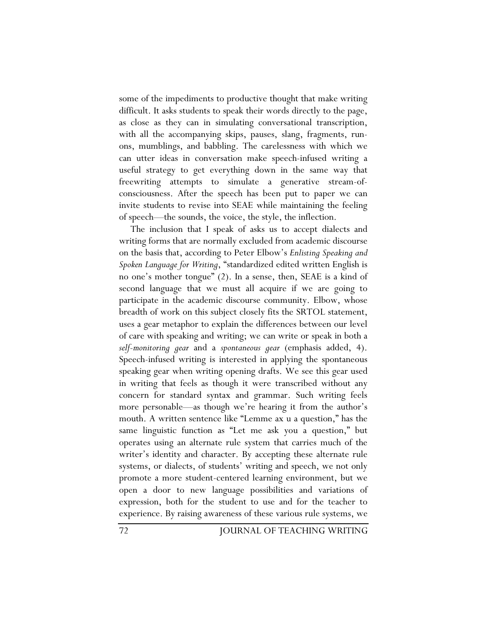some of the impediments to productive thought that make writing difficult. It asks students to speak their words directly to the page, as close as they can in simulating conversational transcription, with all the accompanying skips, pauses, slang, fragments, runons, mumblings, and babbling. The carelessness with which we can utter ideas in conversation make speech-infused writing a useful strategy to get everything down in the same way that freewriting attempts to simulate a generative stream-ofconsciousness. After the speech has been put to paper we can invite students to revise into SEAE while maintaining the feeling of speech—the sounds, the voice, the style, the inflection.

The inclusion that I speak of asks us to accept dialects and writing forms that are normally excluded from academic discourse on the basis that, according to Peter Elbow's *Enlisting Speaking and Spoken Language for Writing*, "standardized edited written English is no one's mother tongue" (2). In a sense, then, SEAE is a kind of second language that we must all acquire if we are going to participate in the academic discourse community. Elbow, whose breadth of work on this subject closely fits the SRTOL statement, uses a gear metaphor to explain the differences between our level of care with speaking and writing; we can write or speak in both a *self-monitoring gear* and a *spontaneous gear* (emphasis added, 4). Speech-infused writing is interested in applying the spontaneous speaking gear when writing opening drafts. We see this gear used in writing that feels as though it were transcribed without any concern for standard syntax and grammar. Such writing feels more personable—as though we're hearing it from the author's mouth. A written sentence like "Lemme ax u a question," has the same linguistic function as "Let me ask you a question," but operates using an alternate rule system that carries much of the writer's identity and character. By accepting these alternate rule systems, or dialects, of students' writing and speech, we not only promote a more student-centered learning environment, but we open a door to new language possibilities and variations of expression, both for the student to use and for the teacher to experience. By raising awareness of these various rule systems, we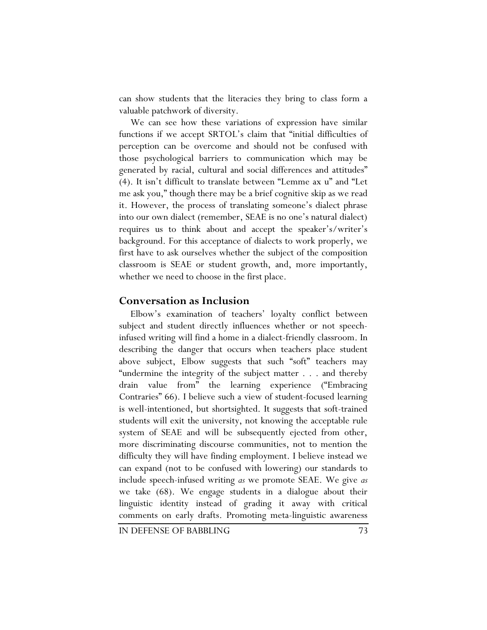can show students that the literacies they bring to class form a valuable patchwork of diversity.

We can see how these variations of expression have similar functions if we accept SRTOL's claim that "initial difficulties of perception can be overcome and should not be confused with those psychological barriers to communication which may be generated by racial, cultural and social differences and attitudes" (4). It isn't difficult to translate between "Lemme ax u" and "Let me ask you," though there may be a brief cognitive skip as we read it. However, the process of translating someone's dialect phrase into our own dialect (remember, SEAE is no one's natural dialect) requires us to think about and accept the speaker's/writer's background. For this acceptance of dialects to work properly, we first have to ask ourselves whether the subject of the composition classroom is SEAE or student growth, and, more importantly, whether we need to choose in the first place.

## **Conversation as Inclusion**

Elbow's examination of teachers' loyalty conflict between subject and student directly influences whether or not speechinfused writing will find a home in a dialect-friendly classroom. In describing the danger that occurs when teachers place student above subject, Elbow suggests that such "soft" teachers may "undermine the integrity of the subject matter . . . and thereby drain value from" the learning experience ("Embracing Contraries" 66). I believe such a view of student-focused learning is well-intentioned, but shortsighted. It suggests that soft-trained students will exit the university, not knowing the acceptable rule system of SEAE and will be subsequently ejected from other, more discriminating discourse communities, not to mention the difficulty they will have finding employment. I believe instead we can expand (not to be confused with lowering) our standards to include speech-infused writing *as* we promote SEAE. We give *as*  we take (68). We engage students in a dialogue about their linguistic identity instead of grading it away with critical comments on early drafts. Promoting meta-linguistic awareness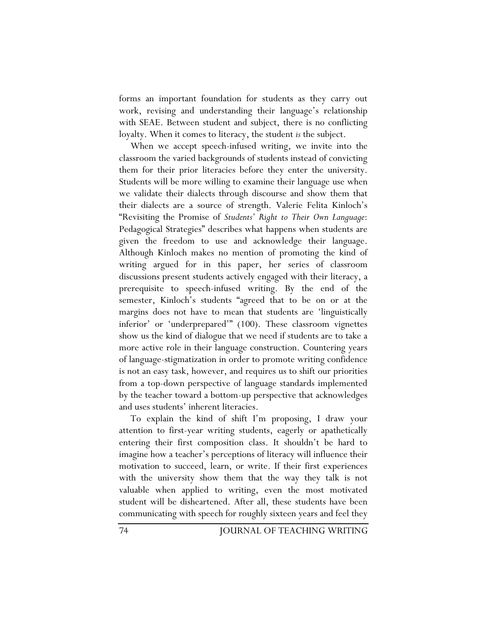forms an important foundation for students as they carry out work, revising and understanding their language's relationship with SEAE. Between student and subject, there is no conflicting loyalty. When it comes to literacy, the student *is* the subject.

When we accept speech-infused writing, we invite into the classroom the varied backgrounds of students instead of convicting them for their prior literacies before they enter the university. Students will be more willing to examine their language use when we validate their dialects through discourse and show them that their dialects are a source of strength. Valerie Felita Kinloch's "Revisiting the Promise of *Students' Right to Their Own Language*: Pedagogical Strategies" describes what happens when students are given the freedom to use and acknowledge their language. Although Kinloch makes no mention of promoting the kind of writing argued for in this paper, her series of classroom discussions present students actively engaged with their literacy, a prerequisite to speech-infused writing. By the end of the semester, Kinloch's students "agreed that to be on or at the margins does not have to mean that students are 'linguistically inferior' or 'underprepared'" (100). These classroom vignettes show us the kind of dialogue that we need if students are to take a more active role in their language construction. Countering years of language-stigmatization in order to promote writing confidence is not an easy task, however, and requires us to shift our priorities from a top-down perspective of language standards implemented by the teacher toward a bottom-up perspective that acknowledges and uses students' inherent literacies.

To explain the kind of shift I'm proposing, I draw your attention to first-year writing students, eagerly or apathetically entering their first composition class. It shouldn't be hard to imagine how a teacher's perceptions of literacy will influence their motivation to succeed, learn, or write. If their first experiences with the university show them that the way they talk is not valuable when applied to writing, even the most motivated student will be disheartened. After all, these students have been communicating with speech for roughly sixteen years and feel they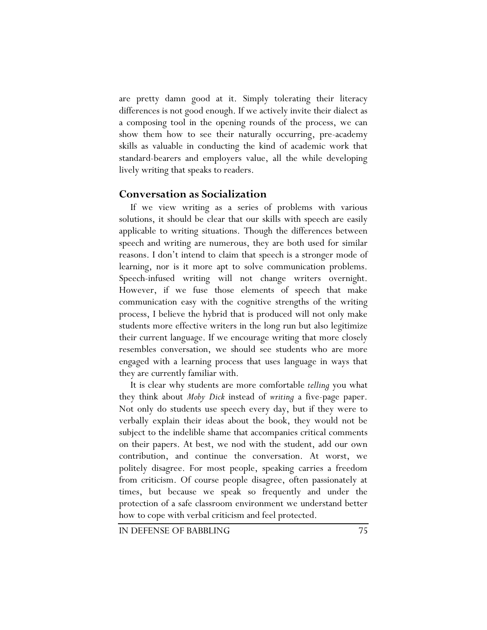are pretty damn good at it. Simply tolerating their literacy differences is not good enough. If we actively invite their dialect as a composing tool in the opening rounds of the process, we can show them how to see their naturally occurring, pre-academy skills as valuable in conducting the kind of academic work that standard-bearers and employers value, all the while developing lively writing that speaks to readers.

## **Conversation as Socialization**

If we view writing as a series of problems with various solutions, it should be clear that our skills with speech are easily applicable to writing situations. Though the differences between speech and writing are numerous, they are both used for similar reasons. I don't intend to claim that speech is a stronger mode of learning, nor is it more apt to solve communication problems. Speech-infused writing will not change writers overnight. However, if we fuse those elements of speech that make communication easy with the cognitive strengths of the writing process, I believe the hybrid that is produced will not only make students more effective writers in the long run but also legitimize their current language. If we encourage writing that more closely resembles conversation, we should see students who are more engaged with a learning process that uses language in ways that they are currently familiar with.

It is clear why students are more comfortable *telling* you what they think about *Moby Dick* instead of *writing* a five-page paper. Not only do students use speech every day, but if they were to verbally explain their ideas about the book, they would not be subject to the indelible shame that accompanies critical comments on their papers. At best, we nod with the student, add our own contribution, and continue the conversation. At worst, we politely disagree. For most people, speaking carries a freedom from criticism. Of course people disagree, often passionately at times, but because we speak so frequently and under the protection of a safe classroom environment we understand better how to cope with verbal criticism and feel protected.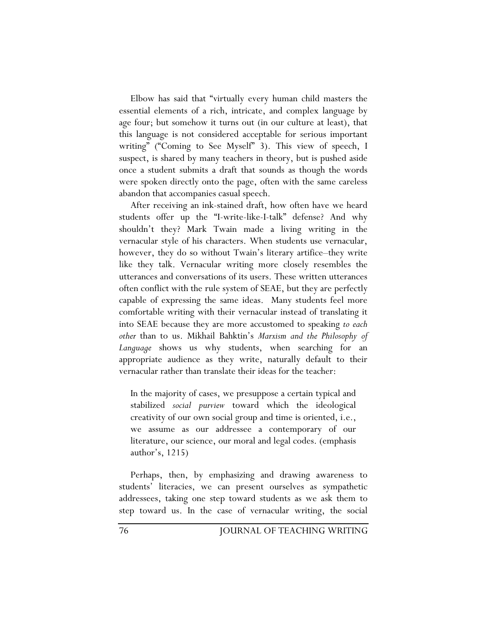Elbow has said that "virtually every human child masters the essential elements of a rich, intricate, and complex language by age four; but somehow it turns out (in our culture at least), that this language is not considered acceptable for serious important writing" ("Coming to See Myself" 3). This view of speech, I suspect, is shared by many teachers in theory, but is pushed aside once a student submits a draft that sounds as though the words were spoken directly onto the page, often with the same careless abandon that accompanies casual speech.

After receiving an ink-stained draft, how often have we heard students offer up the "I-write-like-I-talk" defense? And why shouldn't they? Mark Twain made a living writing in the vernacular style of his characters. When students use vernacular, however, they do so without Twain's literary artifice–they write like they talk. Vernacular writing more closely resembles the utterances and conversations of its users. These written utterances often conflict with the rule system of SEAE, but they are perfectly capable of expressing the same ideas. Many students feel more comfortable writing with their vernacular instead of translating it into SEAE because they are more accustomed to speaking *to each other* than to us. Mikhail Bahktin's *Marxism and the Philosophy of Language* shows us why students, when searching for an appropriate audience as they write, naturally default to their vernacular rather than translate their ideas for the teacher:

In the majority of cases, we presuppose a certain typical and stabilized *social purview* toward which the ideological creativity of our own social group and time is oriented, i.e., we assume as our addressee a contemporary of our literature, our science, our moral and legal codes. (emphasis author's, 1215)

Perhaps, then, by emphasizing and drawing awareness to students' literacies, we can present ourselves as sympathetic addressees, taking one step toward students as we ask them to step toward us. In the case of vernacular writing, the social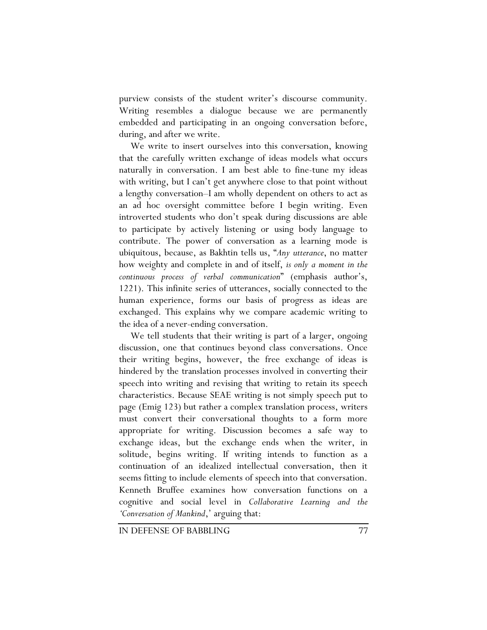purview consists of the student writer's discourse community. Writing resembles a dialogue because we are permanently embedded and participating in an ongoing conversation before, during, and after we write.

We write to insert ourselves into this conversation, knowing that the carefully written exchange of ideas models what occurs naturally in conversation. I am best able to fine-tune my ideas with writing, but I can't get anywhere close to that point without a lengthy conversation–I am wholly dependent on others to act as an ad hoc oversight committee before I begin writing. Even introverted students who don't speak during discussions are able to participate by actively listening or using body language to contribute. The power of conversation as a learning mode is ubiquitous, because, as Bakhtin tells us, "*Any utterance*, no matter how weighty and complete in and of itself, *is only a moment in the continuous process of verbal communication*" (emphasis author's, 1221). This infinite series of utterances, socially connected to the human experience, forms our basis of progress as ideas are exchanged. This explains why we compare academic writing to the idea of a never-ending conversation.

We tell students that their writing is part of a larger, ongoing discussion, one that continues beyond class conversations. Once their writing begins, however, the free exchange of ideas is hindered by the translation processes involved in converting their speech into writing and revising that writing to retain its speech characteristics. Because SEAE writing is not simply speech put to page (Emig 123) but rather a complex translation process, writers must convert their conversational thoughts to a form more appropriate for writing. Discussion becomes a safe way to exchange ideas, but the exchange ends when the writer, in solitude, begins writing. If writing intends to function as a continuation of an idealized intellectual conversation, then it seems fitting to include elements of speech into that conversation. Kenneth Bruffee examines how conversation functions on a cognitive and social level in *Collaborative Learning and the 'Conversation of Mankind*,' arguing that: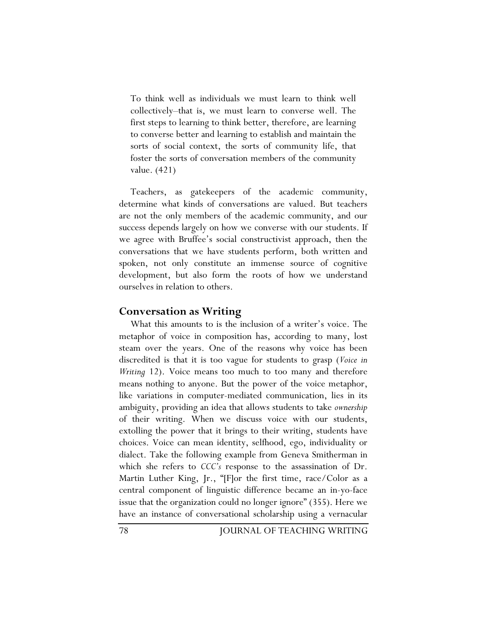To think well as individuals we must learn to think well collectively–that is, we must learn to converse well. The first steps to learning to think better, therefore, are learning to converse better and learning to establish and maintain the sorts of social context, the sorts of community life, that foster the sorts of conversation members of the community value. (421)

Teachers, as gatekeepers of the academic community, determine what kinds of conversations are valued. But teachers are not the only members of the academic community, and our success depends largely on how we converse with our students. If we agree with Bruffee's social constructivist approach, then the conversations that we have students perform, both written and spoken, not only constitute an immense source of cognitive development, but also form the roots of how we understand ourselves in relation to others.

#### **Conversation as Writing**

What this amounts to is the inclusion of a writer's voice. The metaphor of voice in composition has, according to many, lost steam over the years. One of the reasons why voice has been discredited is that it is too vague for students to grasp (*Voice in Writing* 12). Voice means too much to too many and therefore means nothing to anyone. But the power of the voice metaphor, like variations in computer-mediated communication, lies in its ambiguity, providing an idea that allows students to take *ownership* of their writing. When we discuss voice with our students, extolling the power that it brings to their writing, students have choices. Voice can mean identity, selfhood, ego, individuality or dialect. Take the following example from Geneva Smitherman in which she refers to *CCC's* response to the assassination of Dr. Martin Luther King, Jr., "[F]or the first time, race/Color as a central component of linguistic difference became an in-yo-face issue that the organization could no longer ignore" (355). Here we have an instance of conversational scholarship using a vernacular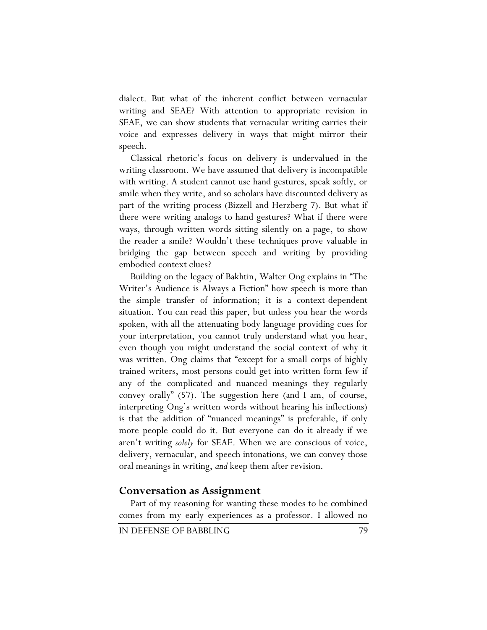dialect. But what of the inherent conflict between vernacular writing and SEAE? With attention to appropriate revision in SEAE, we can show students that vernacular writing carries their voice and expresses delivery in ways that might mirror their speech.

Classical rhetoric's focus on delivery is undervalued in the writing classroom. We have assumed that delivery is incompatible with writing. A student cannot use hand gestures, speak softly, or smile when they write, and so scholars have discounted delivery as part of the writing process (Bizzell and Herzberg 7). But what if there were writing analogs to hand gestures? What if there were ways, through written words sitting silently on a page, to show the reader a smile? Wouldn't these techniques prove valuable in bridging the gap between speech and writing by providing embodied context clues?

Building on the legacy of Bakhtin, Walter Ong explains in "The Writer's Audience is Always a Fiction" how speech is more than the simple transfer of information; it is a context-dependent situation. You can read this paper, but unless you hear the words spoken, with all the attenuating body language providing cues for your interpretation, you cannot truly understand what you hear, even though you might understand the social context of why it was written. Ong claims that "except for a small corps of highly trained writers, most persons could get into written form few if any of the complicated and nuanced meanings they regularly convey orally" (57). The suggestion here (and I am, of course, interpreting Ong's written words without hearing his inflections) is that the addition of "nuanced meanings" is preferable, if only more people could do it. But everyone can do it already if we aren't writing *solely* for SEAE. When we are conscious of voice, delivery, vernacular, and speech intonations, we can convey those oral meanings in writing, *and* keep them after revision.

## **Conversation as Assignment**

Part of my reasoning for wanting these modes to be combined comes from my early experiences as a professor. I allowed no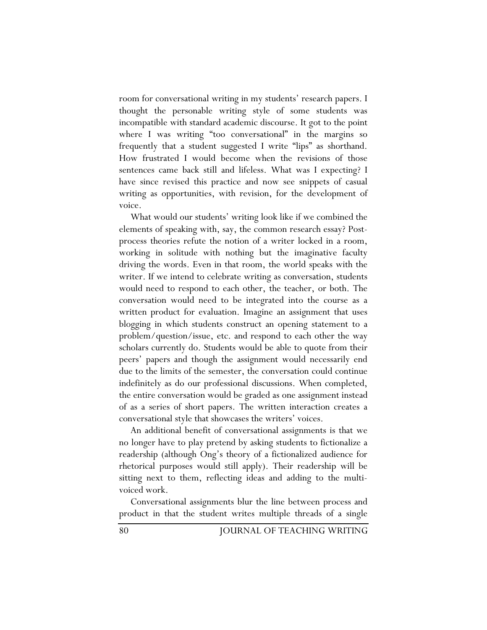room for conversational writing in my students' research papers. I thought the personable writing style of some students was incompatible with standard academic discourse. It got to the point where I was writing "too conversational" in the margins so frequently that a student suggested I write "lips" as shorthand. How frustrated I would become when the revisions of those sentences came back still and lifeless. What was I expecting? I have since revised this practice and now see snippets of casual writing as opportunities, with revision, for the development of voice.

What would our students' writing look like if we combined the elements of speaking with, say, the common research essay? Postprocess theories refute the notion of a writer locked in a room, working in solitude with nothing but the imaginative faculty driving the words. Even in that room, the world speaks with the writer. If we intend to celebrate writing as conversation, students would need to respond to each other, the teacher, or both. The conversation would need to be integrated into the course as a written product for evaluation. Imagine an assignment that uses blogging in which students construct an opening statement to a problem/question/issue, etc. and respond to each other the way scholars currently do. Students would be able to quote from their peers' papers and though the assignment would necessarily end due to the limits of the semester, the conversation could continue indefinitely as do our professional discussions. When completed, the entire conversation would be graded as one assignment instead of as a series of short papers. The written interaction creates a conversational style that showcases the writers' voices.

An additional benefit of conversational assignments is that we no longer have to play pretend by asking students to fictionalize a readership (although Ong's theory of a fictionalized audience for rhetorical purposes would still apply). Their readership will be sitting next to them, reflecting ideas and adding to the multivoiced work.

Conversational assignments blur the line between process and product in that the student writes multiple threads of a single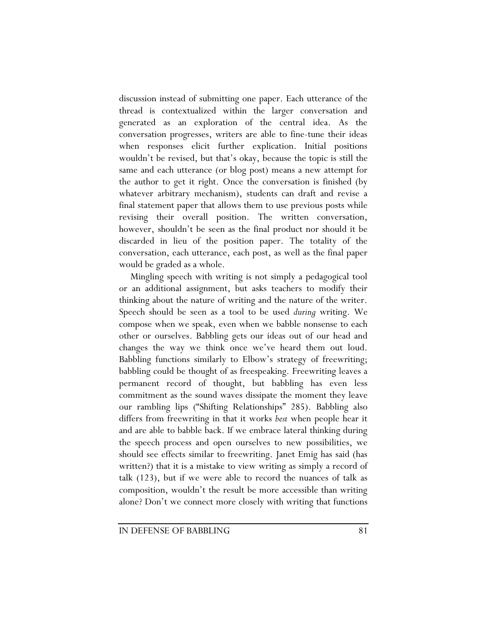discussion instead of submitting one paper. Each utterance of the thread is contextualized within the larger conversation and generated as an exploration of the central idea. As the conversation progresses, writers are able to fine-tune their ideas when responses elicit further explication. Initial positions wouldn't be revised, but that's okay, because the topic is still the same and each utterance (or blog post) means a new attempt for the author to get it right. Once the conversation is finished (by whatever arbitrary mechanism), students can draft and revise a final statement paper that allows them to use previous posts while revising their overall position. The written conversation, however, shouldn't be seen as the final product nor should it be discarded in lieu of the position paper. The totality of the conversation, each utterance, each post, as well as the final paper would be graded as a whole.

Mingling speech with writing is not simply a pedagogical tool or an additional assignment, but asks teachers to modify their thinking about the nature of writing and the nature of the writer. Speech should be seen as a tool to be used *during* writing. We compose when we speak, even when we babble nonsense to each other or ourselves. Babbling gets our ideas out of our head and changes the way we think once we've heard them out loud. Babbling functions similarly to Elbow's strategy of freewriting; babbling could be thought of as freespeaking. Freewriting leaves a permanent record of thought, but babbling has even less commitment as the sound waves dissipate the moment they leave our rambling lips ("Shifting Relationships" 285). Babbling also differs from freewriting in that it works *best* when people hear it and are able to babble back. If we embrace lateral thinking during the speech process and open ourselves to new possibilities, we should see effects similar to freewriting. Janet Emig has said (has written?) that it is a mistake to view writing as simply a record of talk (123), but if we were able to record the nuances of talk as composition, wouldn't the result be more accessible than writing alone? Don't we connect more closely with writing that functions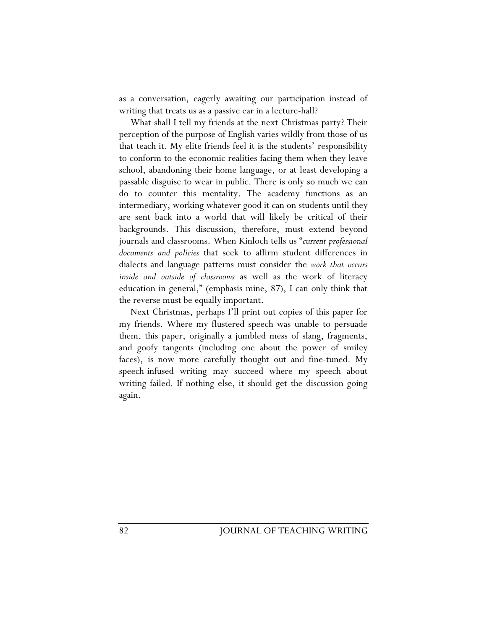as a conversation, eagerly awaiting our participation instead of writing that treats us as a passive ear in a lecture-hall?

What shall I tell my friends at the next Christmas party? Their perception of the purpose of English varies wildly from those of us that teach it. My elite friends feel it is the students' responsibility to conform to the economic realities facing them when they leave school, abandoning their home language, or at least developing a passable disguise to wear in public. There is only so much we can do to counter this mentality. The academy functions as an intermediary, working whatever good it can on students until they are sent back into a world that will likely be critical of their backgrounds. This discussion, therefore, must extend beyond journals and classrooms. When Kinloch tells us "*current professional documents and policies* that seek to affirm student differences in dialects and language patterns must consider the *work that occurs inside and outside of classrooms* as well as the work of literacy education in general," (emphasis mine, 87), I can only think that the reverse must be equally important.

Next Christmas, perhaps I'll print out copies of this paper for my friends. Where my flustered speech was unable to persuade them, this paper, originally a jumbled mess of slang, fragments, and goofy tangents (including one about the power of smiley faces), is now more carefully thought out and fine-tuned. My speech-infused writing may succeed where my speech about writing failed. If nothing else, it should get the discussion going again.

82 JOURNAL OF TEACHING WRITING